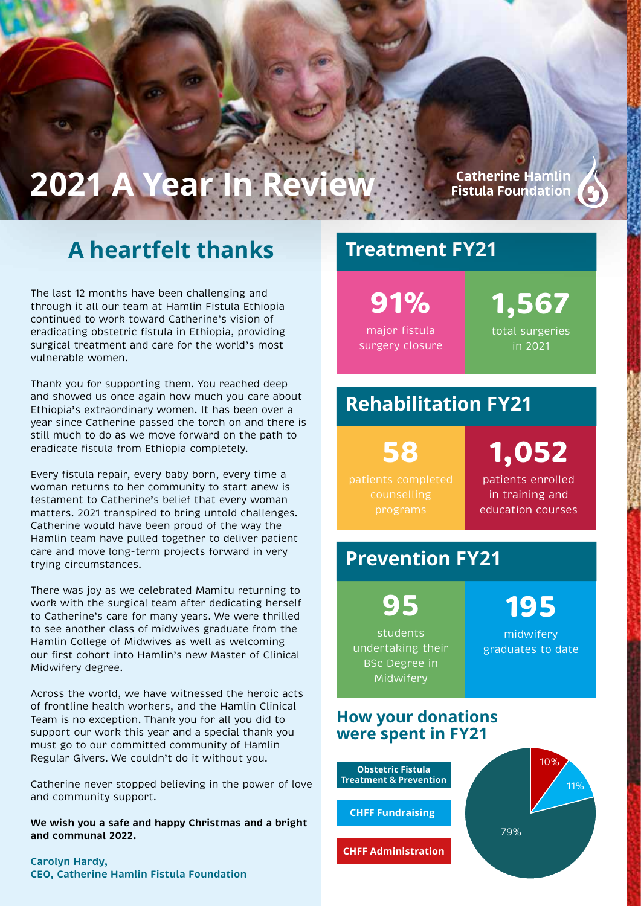# **2021 A Year In Review**

## **A heartfelt thanks**

The last 12 months have been challenging and through it all our team at Hamlin Fistula Ethiopia continued to work toward Catherine's vision of eradicating obstetric fistula in Ethiopia, providing surgical treatment and care for the world's most vulnerable women.

Thank you for supporting them. You reached deep and showed us once again how much you care about Ethiopia's extraordinary women. It has been over a year since Catherine passed the torch on and there is still much to do as we move forward on the path to eradicate fistula from Ethiopia completely.

Every fistula repair, every baby born, every time a woman returns to her community to start anew is testament to Catherine's belief that every woman matters. 2021 transpired to bring untold challenges. Catherine would have been proud of the way the Hamlin team have pulled together to deliver patient care and move long-term projects forward in very trying circumstances.

There was joy as we celebrated Mamitu returning to work with the surgical team after dedicating herself to Catherine's care for many years. We were thrilled to see another class of midwives graduate from the Hamlin College of Midwives as well as welcoming our first cohort into Hamlin's new Master of Clinical Midwifery degree.

Across the world, we have witnessed the heroic acts of frontline health workers, and the Hamlin Clinical Team is no exception. Thank you for all you did to support our work this year and a special thank you must go to our committed community of Hamlin Regular Givers. We couldn't do it without you.

Catherine never stopped believing in the power of love and community support.

**We wish you a safe and happy Christmas and a bright and communal 2022.**

**Carolyn Hardy, CEO, Catherine Hamlin Fistula Foundation**

### **Treatment FY21**

**91%** major fistula

surgery closure

**1,567** total surgeries in 2021

**Catherine Hamlin Fistula Foundation** 

### **Rehabilitation FY21**

**58** patients completed

**1,052** patients enrolled in training and education courses

### **Prevention FY21**

**95** students undertaking their BSc Degree in Midwifery

midwifery graduates to date

**195**

#### **How your donations were spent in FY21**

**Obstetric Fistula Treatment & Prevention**

**CHFF Fundraising** 

**CHFF Administration** 



Accountability & Administration Fundraising Obstetric Fistula & Prevention Programs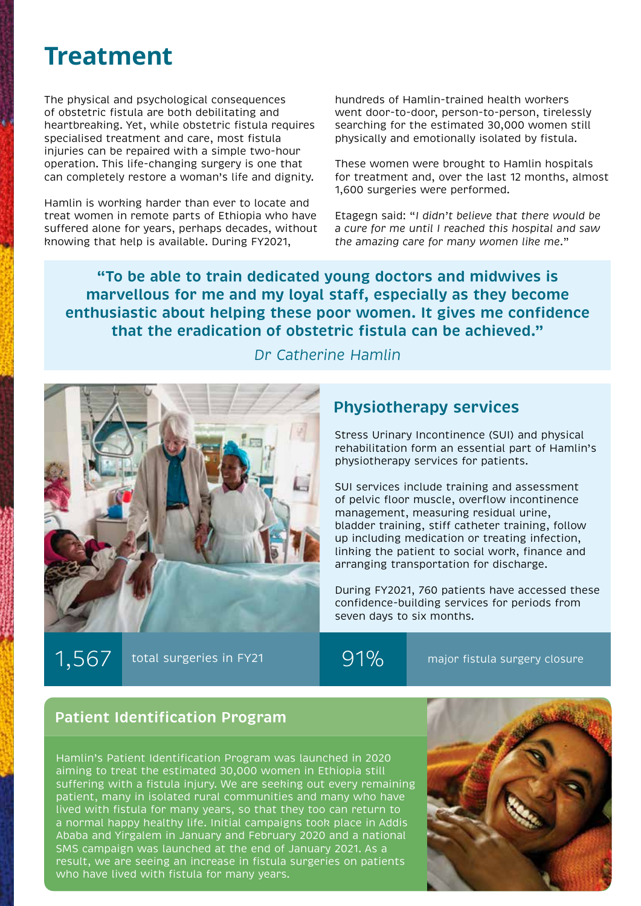## **Treatment**

The physical and psychological consequences of obstetric fistula are both debilitating and heartbreaking. Yet, while obstetric fistula requires specialised treatment and care, most fistula injuries can be repaired with a simple two-hour operation. This life-changing surgery is one that can completely restore a woman's life and dignity.

Hamlin is working harder than ever to locate and treat women in remote parts of Ethiopia who have suffered alone for years, perhaps decades, without knowing that help is available. During FY2021,

hundreds of Hamlin-trained health workers went door-to-door, person-to-person, tirelessly searching for the estimated 30,000 women still physically and emotionally isolated by fistula.

These women were brought to Hamlin hospitals for treatment and, over the last 12 months, almost 1,600 surgeries were performed.

Etagegn said: "*I didn't believe that there would be a cure for me until I reached this hospital and saw the amazing care for many women like me*."

**"To be able to train dedicated young doctors and midwives is marvellous for me and my loyal staff, especially as they become enthusiastic about helping these poor women. It gives me confidence that the eradication of obstetric fistula can be achieved."** 



*Dr Catherine Hamlin*

#### **Physiotherapy services**

Stress Urinary Incontinence (SUI) and physical rehabilitation form an essential part of Hamlin's physiotherapy services for patients.

SUI services include training and assessment of pelvic floor muscle, overflow incontinence management, measuring residual urine, bladder training, stiff catheter training, follow up including medication or treating infection, linking the patient to social work, finance and arranging transportation for discharge.

During FY2021, 760 patients have accessed these confidence-building services for periods from seven days to six months.

 $1,567$  total surgeries in FY21 91% major fistula surgery closure

#### **Patient Identification Program**

Hamlin's Patient Identification Program was launched in 2020 aiming to treat the estimated 30,000 women in Ethiopia still suffering with a fistula injury. We are seeking out every remaining patient, many in isolated rural communities and many who have lived with fistula for many years, so that they too can return to a normal happy healthy life. Initial campaigns took place in Addis Ababa and Yirgalem in January and February 2020 and a national SMS campaign was launched at the end of January 2021. As a result, we are seeing an increase in fistula surgeries on patients who have lived with fistula for many years.

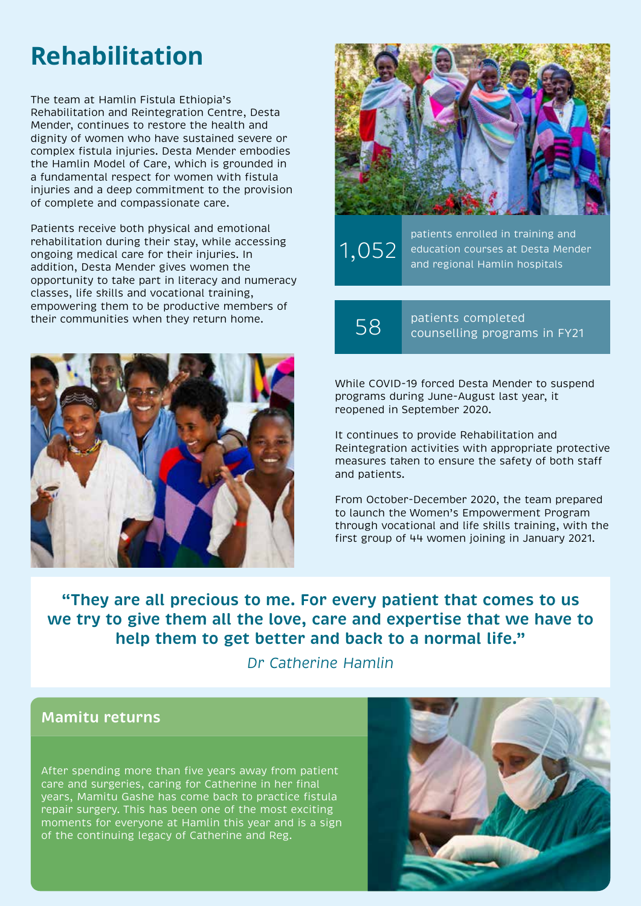## **Rehabilitation**

The team at Hamlin Fistula Ethiopia's Rehabilitation and Reintegration Centre, Desta Mender, continues to restore the health and dignity of women who have sustained severe or complex fistula injuries. Desta Mender embodies the Hamlin Model of Care, which is grounded in a fundamental respect for women with fistula injuries and a deep commitment to the provision of complete and compassionate care.

Patients receive both physical and emotional rehabilitation during their stay, while accessing ongoing medical care for their injuries. In addition, Desta Mender gives women the opportunity to take part in literacy and numeracy classes, life skills and vocational training, empowering them to be productive members of their communities when they return home.





1,052 patients enrolled in training and education courses at Desta Mender and regional Hamlin hospitals

58 patients completed counselling programs in FY21

While COVID-19 forced Desta Mender to suspend programs during June-August last year, it reopened in September 2020.

It continues to provide Rehabilitation and Reintegration activities with appropriate protective measures taken to ensure the safety of both staff and patients.

From October-December 2020, the team prepared to launch the Women's Empowerment Program through vocational and life skills training, with the first group of 44 women joining in January 2021.

**"They are all precious to me. For every patient that comes to us we try to give them all the love, care and expertise that we have to help them to get better and back to a normal life."** 

*Dr Catherine Hamlin*

#### **Mamitu returns**

After spending more than five years away from patient care and surgeries, caring for Catherine in her final years, Mamitu Gashe has come back to practice fistula repair surgery. This has been one of the most exciting moments for everyone at Hamlin this year and is a sign of the continuing legacy of Catherine and Reg.

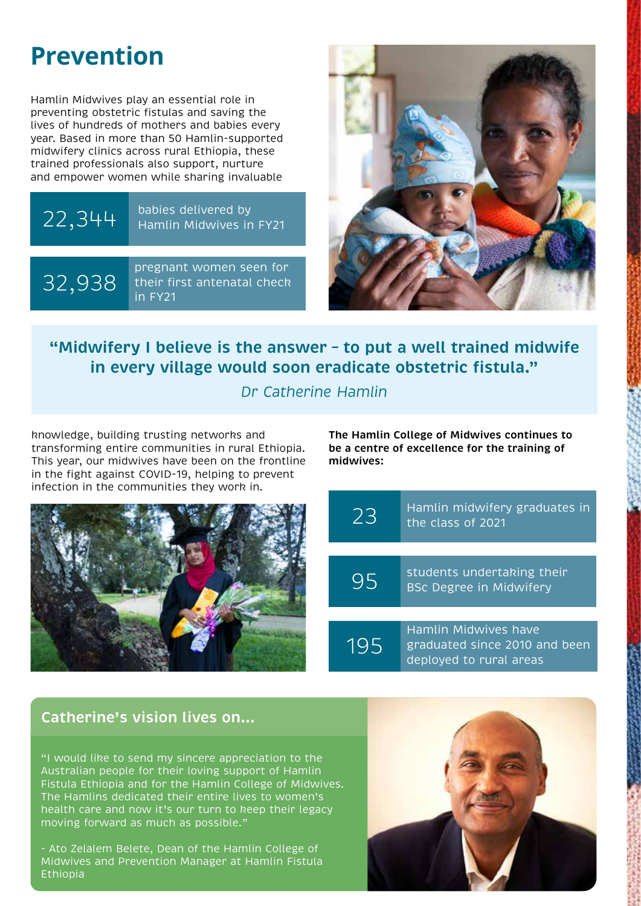## **Prevention**

Hamlin Midwives play an essential role in preventing obstetric fistulas and saving the lives of hundreds of mothers and babies every year. Based in more than 50 Hamlin-supported midwifery clinics across rural Ethiopia, these trained professionals also support, nurture and empower women while sharing invaluable

### $22,344$  babies delivered by<br>Hamlin Midwives in Hamlin Midwives in FY21

32,938

pregnant women seen for their first antenatal check in FY21



**"Midwifery I believe is the answer – to put a well trained midwife in every village would soon eradicate obstetric fistula."** 

*Dr Catherine Hamlin*

knowledge, building trusting networks and transforming entire communities in rural Ethiopia. This year, our midwives have been on the frontline in the fight against COVID-19, helping to prevent infection in the communities they work in.



**The Hamlin College of Midwives continues to be a centre of excellence for the training of midwives:**



graduated since 2010 and been deployed to rural areas

#### **Catherine's vision lives on...**

"I would like to send my sincere appreciation to the Australian people for their loving support of Hamlin Fistula Ethiopia and for the Hamlin College of Midwives. The Hamlins dedicated their entire lives to women's health care and now it's our turn to keep their legacy moving forward as much as possible."

- Ato Zelalem Belete, Dean of the Hamlin College of Midwives and Prevention Manager at Hamlin Fistula Ethiopia

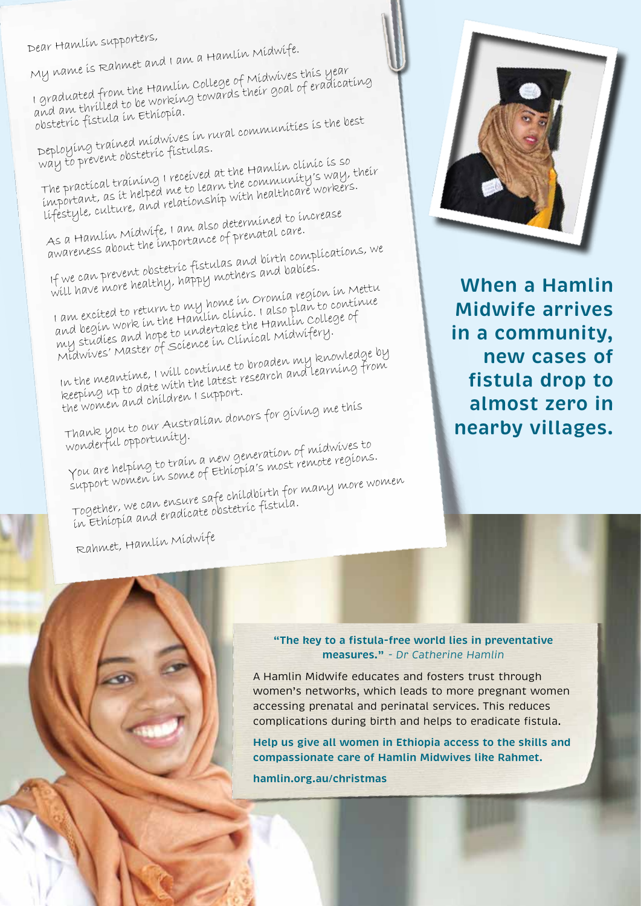Dear Hamlin supporters,

My name is Rahmet and I am a Hamlin Midwife.

I graduated from the Hamlin College of Midwives this year I grammature power one them would be working towards their goal of eradicating obstetric fistula in Ethiopia.

Deploying trained midwives in rural communities is the best way to prevent obstetric fistulas.

The practical training I received at the Hamlin clinic is so important, as it helped me to learn the community's way, their lifestyle, culture, and relationship with healthcare workers.

As a Hamlin Midwife, I am also determined to increase As a manufacture processes in and about the importance of prenatal care.

If we can prevent obstetric fistulas and birth complications, we We can provide account produce in the and babies.

I am excited to return to my home in Oromia region in Mettu and begin work in the Hamlin clinic. I also plan to continue my studies and hope to undertake the Hamlin College of Midwives' Master of Science in Clinical Midwifery.

In the meantime, I will continue to broaden my knowledge by keeping up to date with the latest research and learning from the women and children I support.

Thank you to our Australian donors for giving me this wonderful opportunity.

You are helping to train a new generation of midwives to I we die norporty to the most of Ethiopia's most remote regions.

Together, we can ensure safe childbirth for many more women in organismo, we can avaluate of the continue of the late

Rahmet, Hamlin Midwife



**When a Hamlin Midwife arrives in a community, new cases of fistula drop to almost zero in nearby villages.**

**"The key to a fistula-free world lies in preventative measures."** *- Dr Catherine Hamlin* 

A Hamlin Midwife educates and fosters trust through women's networks, which leads to more pregnant women accessing prenatal and perinatal services. This reduces complications during birth and helps to eradicate fistula.

**Help us give all women in Ethiopia access to the skills and compassionate care of Hamlin Midwives like Rahmet.** 

**hamlin.org.au/christmas**